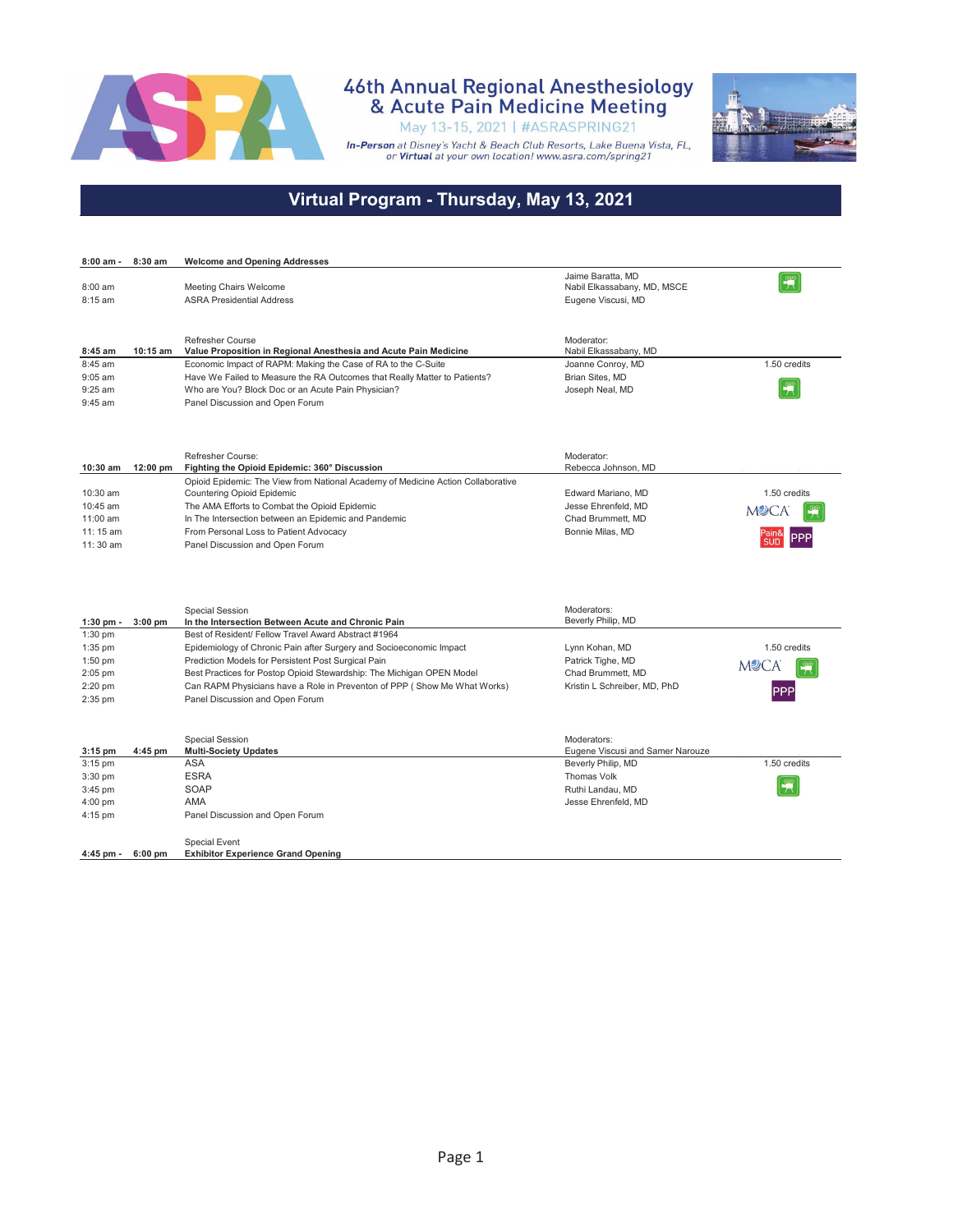

### 46th Annual Regional Anesthesiology<br>& Acute Pain Medicine Meeting

May 13-15, 2021 | #ASRASPRING21 In-Person at Disney's Yacht & Beach Club Resorts, Lake Buena Vista, FL,<br>or Virtual at your own location! www.asra.com/spring21



#### **Virtual Program - Thursday, May 13, 2021**

| 8:00 am -   | 8:30 am   | <b>Welcome and Opening Addresses</b>                                             |                                  |              |
|-------------|-----------|----------------------------------------------------------------------------------|----------------------------------|--------------|
|             |           |                                                                                  | Jaime Baratta, MD                |              |
| 8:00 am     |           | Meeting Chairs Welcome                                                           | Nabil Elkassabany, MD, MSCE      |              |
| 8:15 am     |           | <b>ASRA Presidential Address</b>                                                 | Eugene Viscusi, MD               |              |
|             |           |                                                                                  |                                  |              |
|             |           |                                                                                  |                                  |              |
|             |           | Refresher Course                                                                 | Moderator:                       |              |
| 8:45 am     | 10:15 am  | Value Proposition in Regional Anesthesia and Acute Pain Medicine                 | Nabil Elkassabany, MD            |              |
| 8:45 am     |           | Economic Impact of RAPM: Making the Case of RA to the C-Suite                    | Joanne Conroy, MD                | 1.50 credits |
| 9:05 am     |           | Have We Failed to Measure the RA Outcomes that Really Matter to Patients?        | Brian Sites, MD                  |              |
| 9:25 am     |           | Who are You? Block Doc or an Acute Pain Physician?                               | Joseph Neal, MD                  |              |
| $9:45$ am   |           | Panel Discussion and Open Forum                                                  |                                  |              |
|             |           |                                                                                  |                                  |              |
|             |           |                                                                                  |                                  |              |
|             |           | Refresher Course:                                                                | Moderator:                       |              |
| 10:30 am    | 12:00 pm  | Fighting the Opioid Epidemic: 360° Discussion                                    | Rebecca Johnson, MD              |              |
|             |           | Opioid Epidemic: The View from National Academy of Medicine Action Collaborative |                                  |              |
| 10:30 am    |           | <b>Countering Opioid Epidemic</b>                                                | Edward Mariano, MD               | 1.50 credits |
| 10:45 am    |           | The AMA Efforts to Combat the Opioid Epidemic                                    | Jesse Ehrenfeld, MD              |              |
| 11:00 am    |           | In The Intersection between an Epidemic and Pandemic                             | Chad Brummett, MD                | <b>MUCA</b>  |
| 11: 15 am   |           | From Personal Loss to Patient Advocacy                                           | Bonnie Milas, MD                 |              |
| $11:30$ am  |           | Panel Discussion and Open Forum                                                  |                                  |              |
|             |           |                                                                                  |                                  |              |
|             |           |                                                                                  |                                  |              |
|             |           |                                                                                  |                                  |              |
|             |           |                                                                                  |                                  |              |
|             |           | <b>Special Session</b>                                                           | Moderators:                      |              |
| $1:30$ pm - | $3:00$ pm | In the Intersection Between Acute and Chronic Pain                               | Beverly Philip, MD               |              |
| $1:30$ pm   |           | Best of Resident/ Fellow Travel Award Abstract #1964                             |                                  |              |
| 1:35 pm     |           | Epidemiology of Chronic Pain after Surgery and Socioeconomic Impact              | Lynn Kohan, MD                   | 1.50 credits |
| $1:50$ pm   |           | Prediction Models for Persistent Post Surgical Pain                              | Patrick Tighe, MD                |              |
| 2:05 pm     |           | Best Practices for Postop Opioid Stewardship: The Michigan OPEN Model            | Chad Brummett, MD                | <b>M2CA</b>  |
| 2:20 pm     |           | Can RAPM Physicians have a Role in Preventon of PPP (Show Me What Works)         | Kristin L Schreiber, MD, PhD     |              |
| 2:35 pm     |           | Panel Discussion and Open Forum                                                  |                                  |              |
|             |           |                                                                                  |                                  |              |
|             |           |                                                                                  |                                  |              |
|             |           | <b>Special Session</b>                                                           | Moderators:                      |              |
| $3:15$ pm   | 4:45 pm   | <b>Multi-Society Updates</b>                                                     | Eugene Viscusi and Samer Narouze |              |
| $3:15$ pm   |           | ASA                                                                              | Beverly Philip, MD               | 1.50 credits |
| 3:30 pm     |           | <b>ESRA</b>                                                                      | Thomas Volk                      |              |
| 3:45 pm     |           | SOAP                                                                             | Ruthi Landau, MD                 |              |
| 4:00 pm     |           | AMA                                                                              | Jesse Ehrenfeld, MD              |              |
| $4:15$ pm   |           | Panel Discussion and Open Forum                                                  |                                  |              |
|             |           |                                                                                  |                                  |              |
|             |           | Special Event                                                                    |                                  |              |
| 4:45 pm -   | $6:00$ pm | <b>Exhibitor Experience Grand Opening</b>                                        |                                  |              |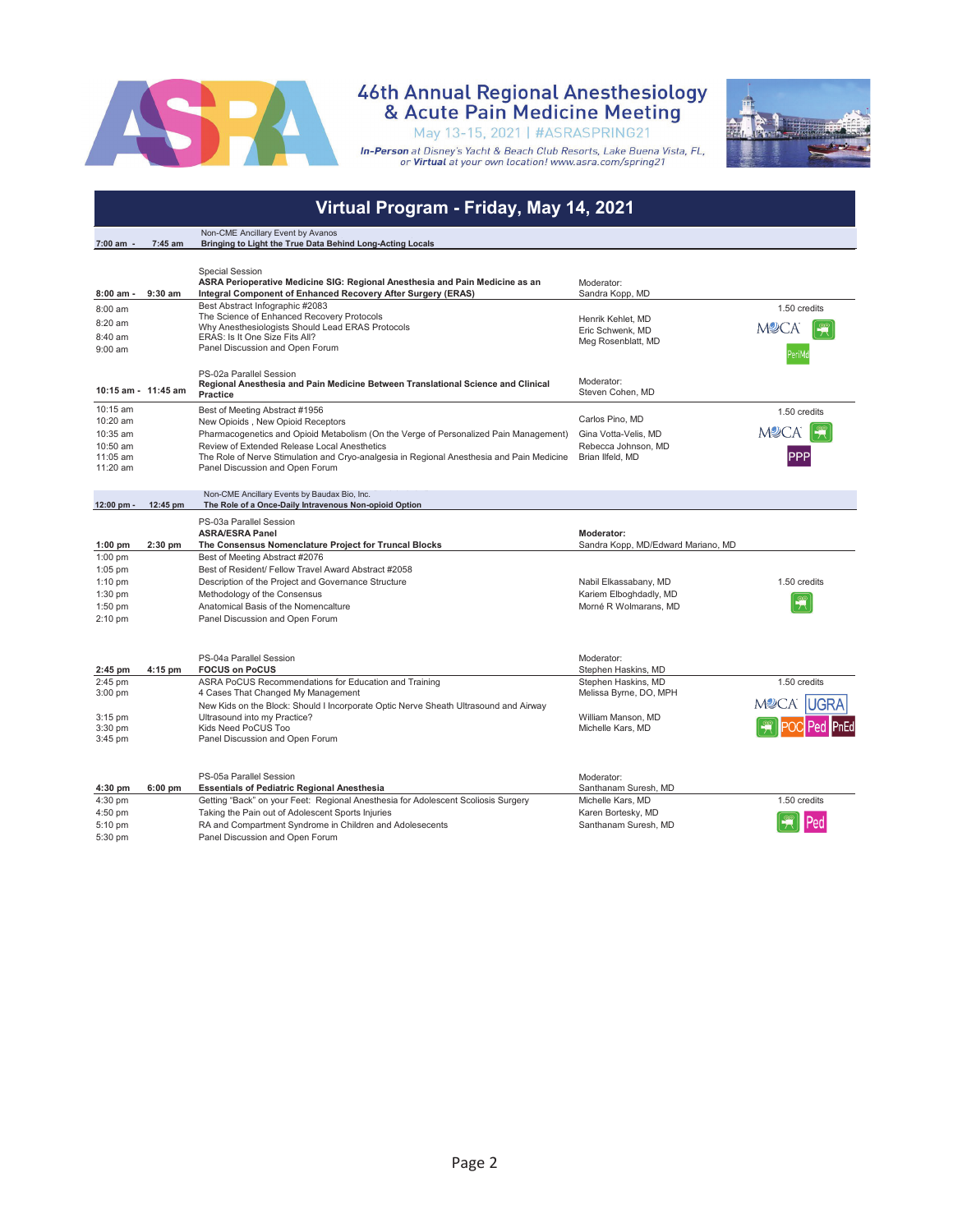

## 46th Annual Regional Anesthesiology<br>& Acute Pain Medicine Meeting

May 13-15, 2021 | #ASRASPRING21

**In-Person** at Disney's Yacht & Beach Club Resorts, Lake Buena Vista, FL,<br>or **Virtual** at your own location! www.asra.com/spring21



#### **Virtual Program - Friday, May 14, 2021**

|             |                     | Non-CME Ancillary Event by Avanos                                                                           |                                    |              |
|-------------|---------------------|-------------------------------------------------------------------------------------------------------------|------------------------------------|--------------|
| 7:00 am -   | 7:45 am             | Bringing to Light the True Data Behind Long-Acting Locals                                                   |                                    |              |
|             |                     |                                                                                                             |                                    |              |
|             |                     | <b>Special Session</b>                                                                                      |                                    |              |
|             |                     | ASRA Perioperative Medicine SIG: Regional Anesthesia and Pain Medicine as an                                | Moderator:                         |              |
| $8:00$ am - | $9:30$ am           | Integral Component of Enhanced Recovery After Surgery (ERAS)                                                | Sandra Kopp, MD                    |              |
| 8:00 am     |                     | Best Abstract Infographic #2083                                                                             |                                    | 1.50 credits |
| 8:20 am     |                     | The Science of Enhanced Recovery Protocols                                                                  | Henrik Kehlet, MD                  |              |
| 8:40 am     |                     | Why Anesthesiologists Should Lead ERAS Protocols                                                            | Eric Schwenk, MD                   | <b>MOCA</b>  |
|             |                     | ERAS: Is It One Size Fits All?<br>Panel Discussion and Open Forum                                           | Meg Rosenblatt, MD                 |              |
| $9:00$ am   |                     |                                                                                                             |                                    |              |
|             |                     |                                                                                                             |                                    |              |
|             |                     | PS-02a Parallel Session<br>Regional Anesthesia and Pain Medicine Between Translational Science and Clinical | Moderator:                         |              |
|             | 10:15 am - 11:45 am | <b>Practice</b>                                                                                             | Steven Cohen, MD                   |              |
| 10:15 am    |                     | Best of Meeting Abstract #1956                                                                              |                                    |              |
| 10:20 am    |                     | New Opioids, New Opioid Receptors                                                                           | Carlos Pino, MD                    | 1.50 credits |
| 10:35 am    |                     | Pharmacogenetics and Opioid Metabolism (On the Verge of Personalized Pain Management)                       | Gina Votta-Velis, MD               | <b>MOCA</b>  |
| 10:50 am    |                     | Review of Extended Release Local Anesthetics                                                                | Rebecca Johnson, MD                |              |
| 11:05 am    |                     | The Role of Nerve Stimulation and Cryo-analgesia in Regional Anesthesia and Pain Medicine                   | Brian Ilfeld, MD                   |              |
| 11:20 am    |                     | Panel Discussion and Open Forum                                                                             |                                    |              |
|             |                     |                                                                                                             |                                    |              |
|             |                     | Non-CME Ancillary Events by Baudax Bio, Inc.                                                                |                                    |              |
| 12:00 pm -  | 12:45 pm            | The Role of a Once-Daily Intravenous Non-opioid Option                                                      |                                    |              |
|             |                     | PS-03a Parallel Session                                                                                     |                                    |              |
|             |                     | <b>ASRA/ESRA Panel</b>                                                                                      | Moderator:                         |              |
| $1:00$ pm   | $2:30$ pm           | The Consensus Nomenclature Project for Truncal Blocks                                                       | Sandra Kopp, MD/Edward Mariano, MD |              |
| $1:00$ pm   |                     | Best of Meeting Abstract #2076                                                                              |                                    |              |
| 1:05 pm     |                     | Best of Resident/ Fellow Travel Award Abstract #2058                                                        |                                    |              |
| $1:10$ pm   |                     | Description of the Project and Governance Structure                                                         | Nabil Elkassabany, MD              | 1.50 credits |
| $1:30$ pm   |                     | Methodology of the Consensus                                                                                | Kariem Elboghdadly, MD             |              |
| $1:50$ pm   |                     | Anatomical Basis of the Nomencalture                                                                        | Morné R Wolmarans, MD              |              |
| $2:10$ pm   |                     | Panel Discussion and Open Forum                                                                             |                                    |              |
|             |                     |                                                                                                             |                                    |              |
|             |                     |                                                                                                             |                                    |              |
|             |                     | PS-04a Parallel Session                                                                                     | Moderator:                         |              |
| $2:45$ pm   | 4:15 pm             | <b>FOCUS on PoCUS</b>                                                                                       | Stephen Haskins, MD                |              |
| 2:45 pm     |                     | ASRA PoCUS Recommendations for Education and Training                                                       | Stephen Haskins, MD                | 1.50 credits |
| $3:00$ pm   |                     | 4 Cases That Changed My Management                                                                          | Melissa Byrne, DO, MPH             |              |
|             |                     | New Kids on the Block: Should I Incorporate Optic Nerve Sheath Ultrasound and Airway                        |                                    | <b>M2CA</b>  |
| 3:15 pm     |                     |                                                                                                             |                                    |              |
|             |                     | Ultrasound into my Practice?                                                                                | William Manson, MD                 |              |
| $3:30$ pm   |                     | Kids Need PoCUS Too                                                                                         | Michelle Kars, MD                  |              |
| 3:45 pm     |                     | Panel Discussion and Open Forum                                                                             |                                    |              |
|             |                     |                                                                                                             |                                    |              |
|             |                     |                                                                                                             |                                    |              |
|             |                     | PS-05a Parallel Session                                                                                     | Moderator:                         |              |
| $4:30$ pm   | $6:00$ pm           | <b>Essentials of Pediatric Regional Anesthesia</b>                                                          | Santhanam Suresh, MD               |              |
| 4:30 pm     |                     | Getting "Back" on your Feet: Regional Anesthesia for Adolescent Scoliosis Surgery                           | Michelle Kars, MD                  | 1.50 credits |
| 4:50 pm     |                     | Taking the Pain out of Adolescent Sports Injuries                                                           | Karen Bortesky, MD                 |              |
| 5:10 pm     |                     | RA and Compartment Syndrome in Children and Adolesecents                                                    | Santhanam Suresh, MD               |              |